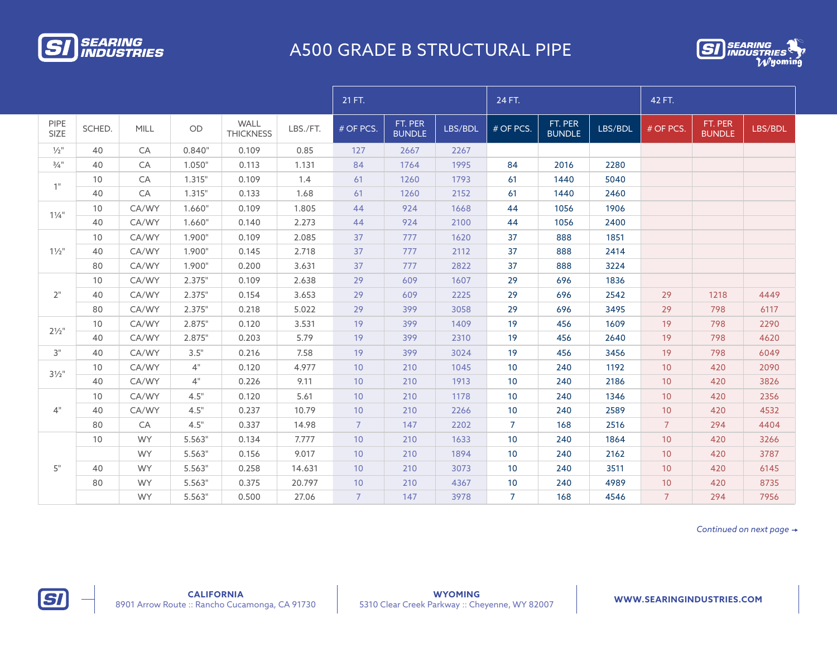

## A500 GRADE B STRUCTURAL PIPE



|                             |        |             |        |                                 |          | 21 FT.         |                          |         | 24 FT.         |                   |         | 42 FT.          |                          |         |
|-----------------------------|--------|-------------|--------|---------------------------------|----------|----------------|--------------------------|---------|----------------|-------------------|---------|-----------------|--------------------------|---------|
| <b>PIPE</b><br>SIZE         | SCHED. | <b>MILL</b> | OD     | <b>WALL</b><br><b>THICKNESS</b> | LBS./FT. | # OF PCS.      | FT. PER<br><b>BUNDLE</b> | LBS/BDL | # OF PCS.      | FT. PER<br>BUNDLE | LBS/BDL | # OF PCS.       | FT. PER<br><b>BUNDLE</b> | LBS/BDL |
| $\frac{1}{2}$ "             | 40     | CA          | 0.840" | 0.109                           | 0.85     | 127            | 2667                     | 2267    |                |                   |         |                 |                          |         |
| $\frac{3}{4}$ <sup>11</sup> | 40     | CA          | 1.050" | 0.113                           | 1.131    | 84             | 1764                     | 1995    | 84             | 2016              | 2280    |                 |                          |         |
| $1$ "                       | 10     | CA          | 1.315" | 0.109                           | 1.4      | 61             | 1260                     | 1793    | 61             | 1440              | 5040    |                 |                          |         |
|                             | 40     | CA          | 1.315" | 0.133                           | 1.68     | 61             | 1260                     | 2152    | 61             | 1440              | 2460    |                 |                          |         |
| $1\frac{1}{4}$              | 10     | CA/WY       | 1.660" | 0.109                           | 1.805    | 44             | 924                      | 1668    | 44             | 1056              | 1906    |                 |                          |         |
|                             | 40     | CA/WY       | 1.660" | 0.140                           | 2.273    | 44             | 924                      | 2100    | 44             | 1056              | 2400    |                 |                          |         |
| $1\frac{1}{2}$              | 10     | CA/WY       | 1.900" | 0.109                           | 2.085    | 37             | 777                      | 1620    | 37             | 888               | 1851    |                 |                          |         |
|                             | 40     | CA/WY       | 1.900" | 0.145                           | 2.718    | 37             | 777                      | 2112    | 37             | 888               | 2414    |                 |                          |         |
|                             | 80     | CA/WY       | 1.900" | 0.200                           | 3.631    | 37             | 777                      | 2822    | 37             | 888               | 3224    |                 |                          |         |
| 2"                          | 10     | CA/WY       | 2.375" | 0.109                           | 2.638    | 29             | 609                      | 1607    | 29             | 696               | 1836    |                 |                          |         |
|                             | 40     | CA/WY       | 2.375" | 0.154                           | 3.653    | 29             | 609                      | 2225    | 29             | 696               | 2542    | 29              | 1218                     | 4449    |
|                             | 80     | CA/WY       | 2.375" | 0.218                           | 5.022    | 29             | 399                      | 3058    | 29             | 696               | 3495    | 29              | 798                      | 6117    |
| $2\frac{1}{2}$ "            | 10     | CA/WY       | 2.875" | 0.120                           | 3.531    | 19             | 399                      | 1409    | 19             | 456               | 1609    | 19              | 798                      | 2290    |
|                             | 40     | CA/WY       | 2.875" | 0.203                           | 5.79     | 19             | 399                      | 2310    | 19             | 456               | 2640    | 19              | 798                      | 4620    |
| 3"                          | 40     | CA/WY       | 3.5"   | 0.216                           | 7.58     | 19             | 399                      | 3024    | 19             | 456               | 3456    | 19              | 798                      | 6049    |
| $3\frac{1}{2}$ "            | 10     | CA/WY       | 4"     | 0.120                           | 4.977    | 10             | 210                      | 1045    | 10             | 240               | 1192    | 10              | 420                      | 2090    |
|                             | 40     | CA/WY       | 4"     | 0.226                           | 9.11     | 10             | 210                      | 1913    | 10             | 240               | 2186    | 10              | 420                      | 3826    |
| 4"                          | 10     | CA/WY       | 4.5"   | 0.120                           | 5.61     | 10             | 210                      | 1178    | 10             | 240               | 1346    | 10              | 420                      | 2356    |
|                             | 40     | CA/WY       | 4.5"   | 0.237                           | 10.79    | 10             | 210                      | 2266    | 10             | 240               | 2589    | 10              | 420                      | 4532    |
|                             | 80     | CA          | 4.5"   | 0.337                           | 14.98    | $\overline{7}$ | 147                      | 2202    | $\overline{7}$ | 168               | 2516    | 7 <sup>7</sup>  | 294                      | 4404    |
| 5"                          | 10     | <b>WY</b>   | 5.563" | 0.134                           | 7.777    | 10             | 210                      | 1633    | 10             | 240               | 1864    | 10 <sup>°</sup> | 420                      | 3266    |
|                             |        | <b>WY</b>   | 5.563" | 0.156                           | 9.017    | 10             | 210                      | 1894    | 10             | 240               | 2162    | 10              | 420                      | 3787    |
|                             | 40     | <b>WY</b>   | 5.563" | 0.258                           | 14.631   | 10             | 210                      | 3073    | 10             | 240               | 3511    | 10 <sup>°</sup> | 420                      | 6145    |
|                             | 80     | <b>WY</b>   | 5.563" | 0.375                           | 20.797   | 10             | 210                      | 4367    | 10             | 240               | 4989    | 10              | 420                      | 8735    |
|                             |        | <b>WY</b>   | 5.563" | 0.500                           | 27.06    | $\overline{7}$ | 147                      | 3978    | $\overline{7}$ | 168               | 4546    | $\overline{7}$  | 294                      | 7956    |

*Continued on next page*